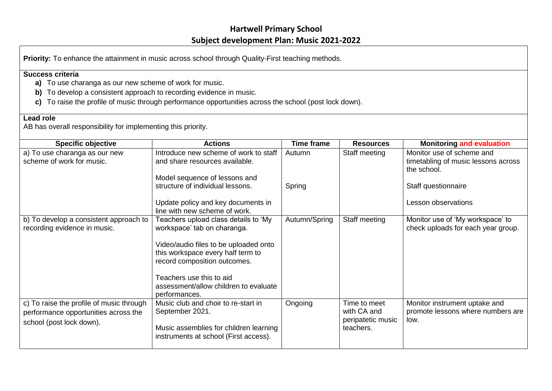## **Hartwell Primary School Subject development Plan: Music 2021-2022**

## **Success criteria**

- **a)** To use charanga as our new scheme of work for music.
- **b)** To develop a consistent approach to recording evidence in music.
- **c)** To raise the profile of music through performance opportunities across the school (post lock down).

## **Lead role**

AB has overall responsibility for implementing this priority.

| <b>Specific objective</b>                                                                                    | <b>Actions</b>                                                                                                                                                                                                                                                          | <b>Time frame</b> | <b>Resources</b>                                              | <b>Monitoring and evaluation</b>                                                |
|--------------------------------------------------------------------------------------------------------------|-------------------------------------------------------------------------------------------------------------------------------------------------------------------------------------------------------------------------------------------------------------------------|-------------------|---------------------------------------------------------------|---------------------------------------------------------------------------------|
| a) To use charanga as our new<br>scheme of work for music.                                                   | Introduce new scheme of work to staff<br>and share resources available.                                                                                                                                                                                                 | Autumn            | Staff meeting                                                 | Monitor use of scheme and<br>timetabling of music lessons across<br>the school. |
|                                                                                                              | Model sequence of lessons and<br>structure of individual lessons.                                                                                                                                                                                                       | Spring            |                                                               | Staff questionnaire                                                             |
|                                                                                                              | Update policy and key documents in<br>line with new scheme of work.                                                                                                                                                                                                     |                   |                                                               | Lesson observations                                                             |
| b) To develop a consistent approach to<br>recording evidence in music.                                       | Teachers upload class details to 'My<br>workspace' tab on charanga.<br>Video/audio files to be uploaded onto<br>this workspace every half term to<br>record composition outcomes.<br>Teachers use this to aid<br>assessment/allow children to evaluate<br>performances. | Autumn/Spring     | Staff meeting                                                 | Monitor use of 'My workspace' to<br>check uploads for each year group.          |
| c) To raise the profile of music through<br>performance opportunities across the<br>school (post lock down). | Music club and choir to re-start in<br>September 2021.<br>Music assemblies for children learning<br>instruments at school (First access).                                                                                                                               | Ongoing           | Time to meet<br>with CA and<br>peripatetic music<br>teachers. | Monitor instrument uptake and<br>promote lessons where numbers are<br>low.      |